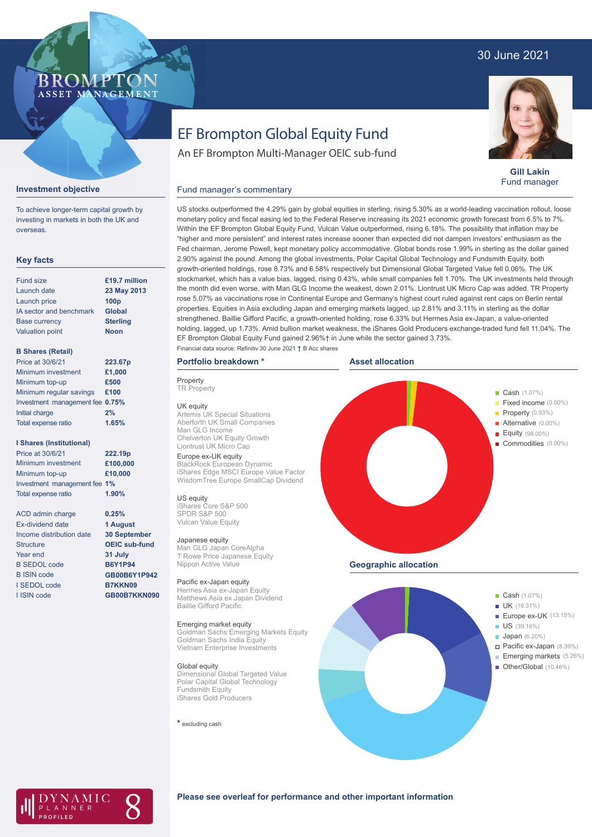# 30 June 2021

### BROMP ASSET MANAGEMENT

**Gill Lakin** Fund manager

# EF Brompton Global Equity Fund

An EF Brompton Multi-Manager OEIC sub-fund

#### **Investment objective**

To achieve longer-term capital growth by investing in markets in both the UK and overseas.

### **Key facts**

| <b>Fund size</b>        | £19.7 million    |
|-------------------------|------------------|
| Launch date             | 23 May 2013      |
| Launch price            | 100 <sub>p</sub> |
| IA sector and benchmark | <b>Global</b>    |
| <b>Base currency</b>    | <b>Sterling</b>  |
| <b>Valuation point</b>  | <b>Noon</b>      |
|                         |                  |

#### **B Shares (Retail)**

| Price at 30/6/21                | 223.67p |
|---------------------------------|---------|
| Minimum investment              | £1,000  |
| Minimum top-up                  | £500    |
| Minimum regular savings         | £100    |
| Investment management fee 0.75% |         |
| Initial charge                  | 2%      |
| Total expense ratio             | 1.65%   |
|                                 |         |

#### **I Shares (Institutional)**

| Price at 30/6/21             | 222.19p  |
|------------------------------|----------|
| Minimum investment           | £100,000 |
| Minimum top-up               | £10,000  |
| Investment management fee 1% |          |
| <b>Total expense ratio</b>   | 1.90%    |

ACD admin charge Ex-dividend date Income distribution date Structure Year end B SEDOL code B ISIN code I SEDOL code I ISIN code

**0.25% 1 August 30 September OEIC sub-fund 31 July B6Y1P94 GB00B6Y1P942 B7KKN09 GB00B7KKN090**

T Rowe Price Japanese Equity Nippon Active Value Pacific ex-Japan equity Hermes Asia ex-Japan Equity Matthews Asia ex Japan Dividend

#### Emerging market equity

Baillie Gifford Pacific

Goldman Sachs Emerging Markets Equity Goldman Sachs India Equity Vietnam Enterprise Investments

#### Global equity

Dimensional Global Targeted Value Polar Capital Global Technology Fundsmith Equity iShares Gold Producers

**\*** excluding cash



**Geographic allocation**





#### **Please see overleaf for performance and other important information**

rose 5.07% as vaccinations rose in Continental Europe and Germany's highest court ruled against rent caps on Berlin rental properties. Equities in Asia excluding Japan and emerging markets lagged, up 2.81% and 3.11% in sterling as the dollar strengthened. Baillie Gifford Pacific, a growth-oriented holding, rose 6.33% but Hermes Asia ex-Japan, a value-oriented holding, lagged, up 1.73%. Amid bullion market weakness, the iShares Gold Producers exchange-traded fund fell 11.04%. The EF Brompton Global Equity Fund gained 2.96%† in June while the sector gained 3.73%. Financial data source: Refinitiv 30 June 2021 † B Acc shares

### **Portfolio breakdown \***

Fund manager's commentary

Europe ex-UK equity BlackRock European Dynamic iShares Edge MSCI Europe Value Factor WisdomTree Europe SmallCap Dividend

UK equity Artemis UK Special Situations Aberforth UK Small Companies

Chelverton UK Equity Growth Liontrust UK Micro Cap

Man GLG Income

US equity

iShares Core S&P 500 SPDR S&P 500 Vulcan Value Equity Japanese equity

Man GLG Japan CoreAlpha

**Property TR Property** 

US stocks outperformed the 4.29% gain by global equities in sterling, rising 5.30% as a world-leading vaccination rollout, loose monetary policy and fiscal easing led to the Federal Reserve increasing its 2021 economic growth forecast from 6.5% to 7%. Within the EF Brompton Global Equity Fund, Vulcan Value outperformed, rising 6.18%. The possibility that inflation may be

"higher and more persistent" and interest rates increase sooner than expected did not dampen investors' enthusiasm as the Fed chairman, Jerome Powell, kept monetary policy accommodative. Global bonds rose 1.99% in sterling as the dollar gained 2.90% against the pound. Among the global investments, Polar Capital Global Technology and Fundsmith Equity, both growth-oriented holdings, rose 8.73% and 6.58% respectively but Dimensional Global Targeted Value fell 0.06%. The UK stockmarket, which has a value bias, lagged, rising 0.43%, while small companies fell 1.70%. The UK investments held through the month did even worse, with Man GLG Income the weakest, down 2.01%. Liontrust UK Micro Cap was added. TR Property